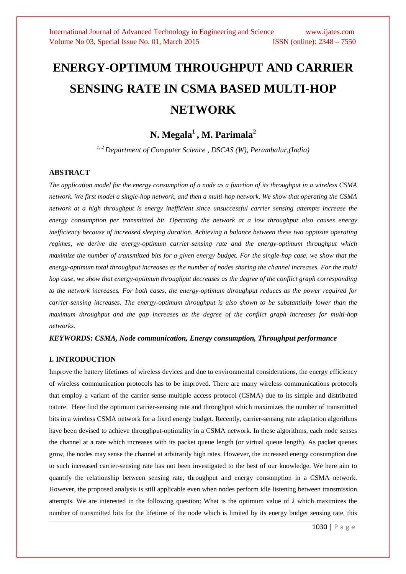# **ENERGY-OPTIMUM THROUGHPUT AND CARRIER SENSING RATE IN CSMA BASED MULTI-HOP NETWORK**

# **N. Megala<sup>1</sup>, M. Parimala<sup>2</sup>**

*1, 2 Department of Computer Science , DSCAS (W), Perambalur,(India)* 

# **ABSTRACT**

*The application model for the energy consumption of a node as a function of its throughput in a wireless CSMA network. We first model a single-hop network, and then a multi-hop network. We show that operating the CSMA network at a high throughput is energy inefficient since unsuccessful carrier sensing attempts increase the energy consumption per transmitted bit. Operating the network at a low throughput also causes energy inefficiency because of increased sleeping duration. Achieving a balance between these two opposite operating regimes, we derive the energy-optimum carrier-sensing rate and the energy-optimum throughput which maximize the number of transmitted bits for a given energy budget. For the single-hop case, we show that the energy-optimum total throughput increases as the number of nodes sharing the channel increases. For the multi hop case, we show that energy-optimum throughput decreases as the degree of the conflict graph corresponding to the network increases. For both cases, the energy-optimum throughput reduces as the power required for carrier-sensing increases. The energy-optimum throughput is also shown to be substantially lower than the maximum throughput and the gap increases as the degree of the conflict graph increases for multi-hop networks.* 

### *KEYWORDS***:** *CSMA, Node communication, Energy consumption, Throughput performance*

# **I. INTRODUCTION**

Improve the battery lifetimes of wireless devices and due to environmental considerations, the energy efficiency of wireless communication protocols has to be improved. There are many wireless communications protocols that employ a variant of the carrier sense multiple access protocol (CSMA) due to its simple and distributed nature. Here find the optimum carrier-sensing rate and throughput which maximizes the number of transmitted bits in a wireless CSMA network for a fixed energy budget. Recently, carrier-sensing rate adaptation algorithms have been devised to achieve throughput-optimality in a CSMA network. In these algorithms, each node senses the channel at a rate which increases with its packet queue length (or virtual queue length). As packet queues grow, the nodes may sense the channel at arbitrarily high rates. However, the increased energy consumption due to such increased carrier-sensing rate has not been investigated to the best of our knowledge. We here aim to quantify the relationship between sensing rate, throughput and energy consumption in a CSMA network. However, the proposed analysis is still applicable even when nodes perform idle listening between transmission attempts. We are interested in the following question: What is the optimum value of *λ* which maximizes the number of transmitted bits for the lifetime of the node which is limited by its energy budget sensing rate, this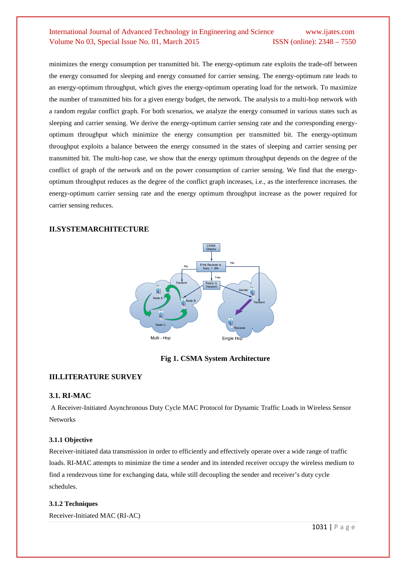# International Journal of Advanced Technology in Engineering and Science www.ijates.com Volume No 03, Special Issue No. 01, March 2015 **ISSN** (online): 2348 – 7550

minimizes the energy consumption per transmitted bit. The energy-optimum rate exploits the trade-off between the energy consumed for sleeping and energy consumed for carrier sensing. The energy-optimum rate leads to an energy-optimum throughput, which gives the energy-optimum operating load for the network. To maximize the number of transmitted bits for a given energy budget, the network. The analysis to a multi-hop network with a random regular conflict graph. For both scenarios, we analyze the energy consumed in various states such as sleeping and carrier sensing. We derive the energy-optimum carrier sensing rate and the corresponding energyoptimum throughput which minimize the energy consumption per transmitted bit. The energy-optimum throughput exploits a balance between the energy consumed in the states of sleeping and carrier sensing per transmitted bit. The multi-hop case, we show that the energy optimum throughput depends on the degree of the conflict of graph of the network and on the power consumption of carrier sensing. We find that the energyoptimum throughput reduces as the degree of the conflict graph increases, i.e., as the interference increases. the energy-optimum carrier sensing rate and the energy optimum throughput increase as the power required for carrier sensing reduces.

# **II.SYSTEMARCHITECTURE**



# **Fig 1. CSMA System Architecture**

# **III.LITERATURE SURVEY**

#### **3.1. RI-MAC**

 A Receiver-Initiated Asynchronous Duty Cycle MAC Protocol for Dynamic Traffic Loads in Wireless Sensor **Networks** 

#### **3.1.1 Objective**

Receiver-initiated data transmission in order to efficiently and effectively operate over a wide range of traffic loads. RI-MAC attempts to minimize the time a sender and its intended receiver occupy the wireless medium to find a rendezvous time for exchanging data, while still decoupling the sender and receiver's duty cycle schedules.

# **3.1.2 Techniques**

Receiver-Initiated MAC (RI-AC)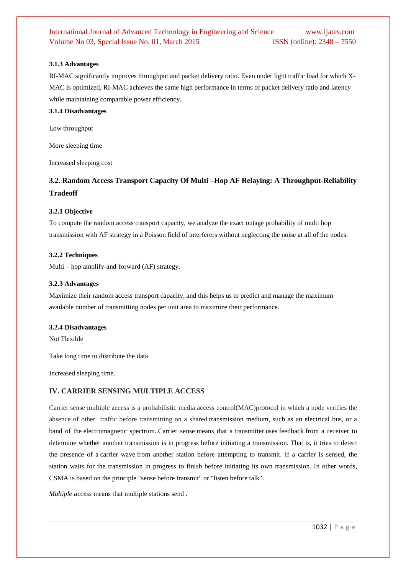# **3.1.3 Advantages**

RI-MAC significantly improves throughput and packet delivery ratio. Even under light traffic load for which X-MAC is optimized, RI-MAC achieves the same high performance in terms of packet delivery ratio and latency while maintaining comparable power efficiency.

# **3.1.4 Disadvantages**

Low throughput

More sleeping time

Increased sleeping cost

# **3.2. Random Access Transport Capacity Of Multi –Hop AF Relaying: A Throughput-Reliability Tradeoff**

#### **3.2.1 Objective**

To compute the random access transport capacity, we analyze the exact outage probability of multi hop transmission with AF strategy in a Poisson field of interferers without neglecting the noise at all of the nodes.

#### **3.2.2 Techniques**

Multi – hop amplify-and-forward (AF) strategy.

#### **3.2.3 Advantages**

Maximize their random access transport capacity, and this helps us to predict and manage the maximum available number of transmitting nodes per unit area to maximize their performance.

#### **3.2.4 Disadvantages**

Not Flexible

Take long time to distribute the data

Increased sleeping time.

# **IV. CARRIER SENSING MULTIPLE ACCESS**

Carrier sense multiple access is a probabilistic media access control(MAC)protocol in which a node verifies the absence of other traffic before transmitting on a shared transmission medium, such as an electrical bus, or a band of the electromagnetic spectrum..Carrier sense means that a transmitter uses feedback from a receiver to determine whether another transmission is in progress before initiating a transmission. That is, it tries to detect the presence of a carrier wave from another station before attempting to transmit. If a carrier is sensed, the station waits for the transmission in progress to finish before initiating its own transmission. In other words, CSMA is based on the principle "sense before transmit" or "listen before talk".

*Multiple access* means that multiple stations send .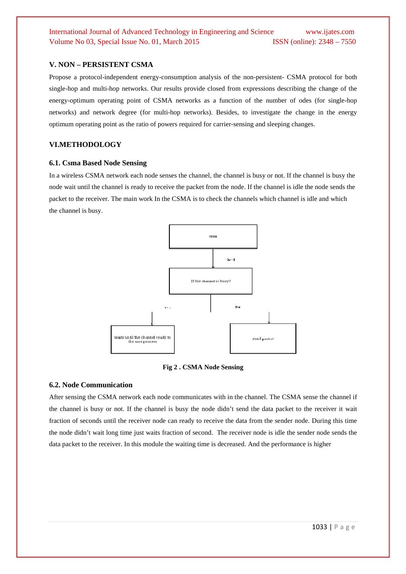# **V. NON – PERSISTENT CSMA**

Propose a protocol-independent energy-consumption analysis of the non-persistent- CSMA protocol for both single-hop and multi-hop networks. Our results provide closed from expressions describing the change of the energy-optimum operating point of CSMA networks as a function of the number of odes (for single-hop networks) and network degree (for multi-hop networks). Besides, to investigate the change in the energy optimum operating point as the ratio of powers required for carrier-sensing and sleeping changes.

# **VI.METHODOLOGY**

### **6.1. Csma Based Node Sensing**

In a wireless CSMA network each node senses the channel, the channel is busy or not. If the channel is busy the node wait until the channel is ready to receive the packet from the node. If the channel is idle the node sends the packet to the receiver. The main work In the CSMA is to check the channels which channel is idle and which the channel is busy.



#### **Fig 2 . CSMA Node Sensing**

# **6.2. Node Communication**

After sensing the CSMA network each node communicates with in the channel. The CSMA sense the channel if the channel is busy or not. If the channel is busy the node didn't send the data packet to the receiver it wait fraction of seconds until the receiver node can ready to receive the data from the sender node. During this time the node didn't wait long time just waits fraction of second. The receiver node is idle the sender node sends the data packet to the receiver. In this module the waiting time is decreased. And the performance is higher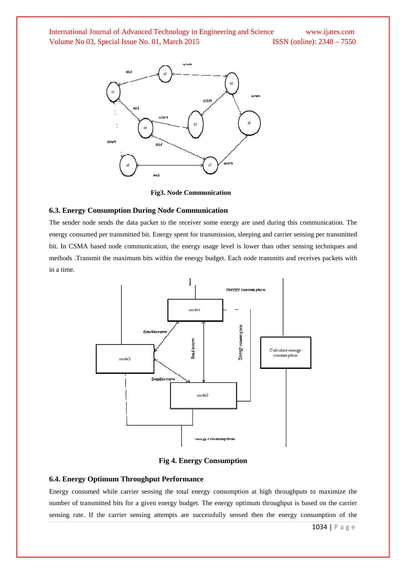

**Fig3. Node Communication** 

#### **6.3. Energy Consumption During Node Communication**

The sender node sends the data packet to the receiver some energy are used during this communication. The energy consumed per transmitted bit. Energy spent for transmission, sleeping and carrier sensing per transmitted bit. In CSMA based node communication, the energy usage level is lower than other sensing techniques and methods .Transmit the maximum bits within the energy budget. Each node transmits and receives packets with in a time.



**Fig 4. Energy Consumption** 

# **6.4. Energy Optimum Throughput Performance**

Energy consumed while carrier sensing the total energy consumption at high throughputs to maximize the number of transmitted bits for a given energy budget. The energy optimum throughput is based on the carrier sensing rate. If the carrier sensing attempts are successfully sensed then the energy consumption of the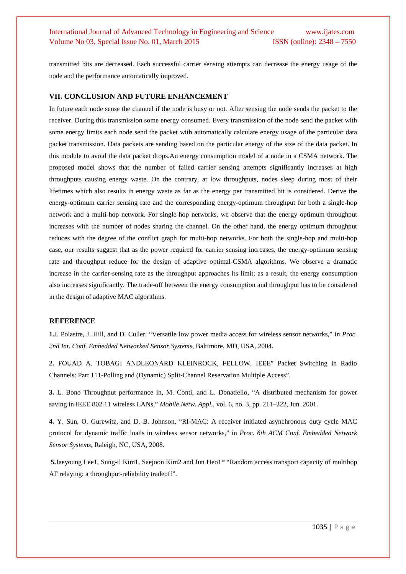# International Journal of Advanced Technology in Engineering and Science www.ijates.com Volume No 03, Special Issue No. 01, March 2015 ISSN (online): 2348 – 7550

transmitted bits are decreased. Each successful carrier sensing attempts can decrease the energy usage of the node and the performance automatically improved.

# **VII. CONCLUSION AND FUTURE ENHANCEMENT**

In future each node sense the channel if the node is busy or not. After sensing the node sends the packet to the receiver. During this transmission some energy consumed. Every transmission of the node send the packet with some energy limits each node send the packet with automatically calculate energy usage of the particular data packet transmission. Data packets are sending based on the particular energy of the size of the data packet. In this module to avoid the data packet drops.An energy consumption model of a node in a CSMA network. The proposed model shows that the number of failed carrier sensing attempts significantly increases at high throughputs causing energy waste. On the contrary, at low throughputs, nodes sleep during most of their lifetimes which also results in energy waste as far as the energy per transmitted bit is considered. Derive the energy-optimum carrier sensing rate and the corresponding energy-optimum throughput for both a single-hop network and a multi-hop network. For single-hop networks, we observe that the energy optimum throughput increases with the number of nodes sharing the channel. On the other hand, the energy optimum throughput reduces with the degree of the conflict graph for multi-hop networks. For both the single-hop and multi-hop case, our results suggest that as the power required for carrier sensing increases, the energy-optimum sensing rate and throughput reduce for the design of adaptive optimal-CSMA algorithms. We observe a dramatic increase in the carrier-sensing rate as the throughput approaches its limit; as a result, the energy consumption also increases significantly. The trade-off between the energy consumption and throughput has to be considered in the design of adaptive MAC algorithms.

#### **REFERENCE**

**1.**J. Polastre, J. Hill, and D. Culler, "Versatile low power media access for wireless sensor networks," in *Proc. 2nd Int. Conf. Embedded Networked Sensor Systems*, Baltimore, MD, USA, 2004.

**2.** FOUAD A. TOBAGI ANDLEONARD KLEINROCK, FELLOW, IEEE" Packet Switching in Radio Channels: Part 111-Polling and (Dynamic) Split-Channel Reservation Multiple Access".

**3.** L. Bono Throughput performance in, M. Conti, and L. Donatiello, "A distributed mechanism for power saving in IEEE 802.11 wireless LANs," *Mobile Netw. Appl.*, vol. 6, no. 3, pp. 211–222, Jun. 2001.

**4.** Y. Sun, O. Gurewitz, and D. B. Johnson, "RI-MAC: A receiver initiated asynchronous duty cycle MAC protocol for dynamic traffic loads in wireless sensor networks," in *Proc. 6th ACM Conf. Embedded Network Sensor Systems*, Raleigh, NC, USA, 2008.

 **5.**Jaeyoung Lee1, Sung-il Kim1, Saejoon Kim2 and Jun Heo1\* "Random access transport capacity of multihop AF relaying: a throughput-reliability tradeoff".